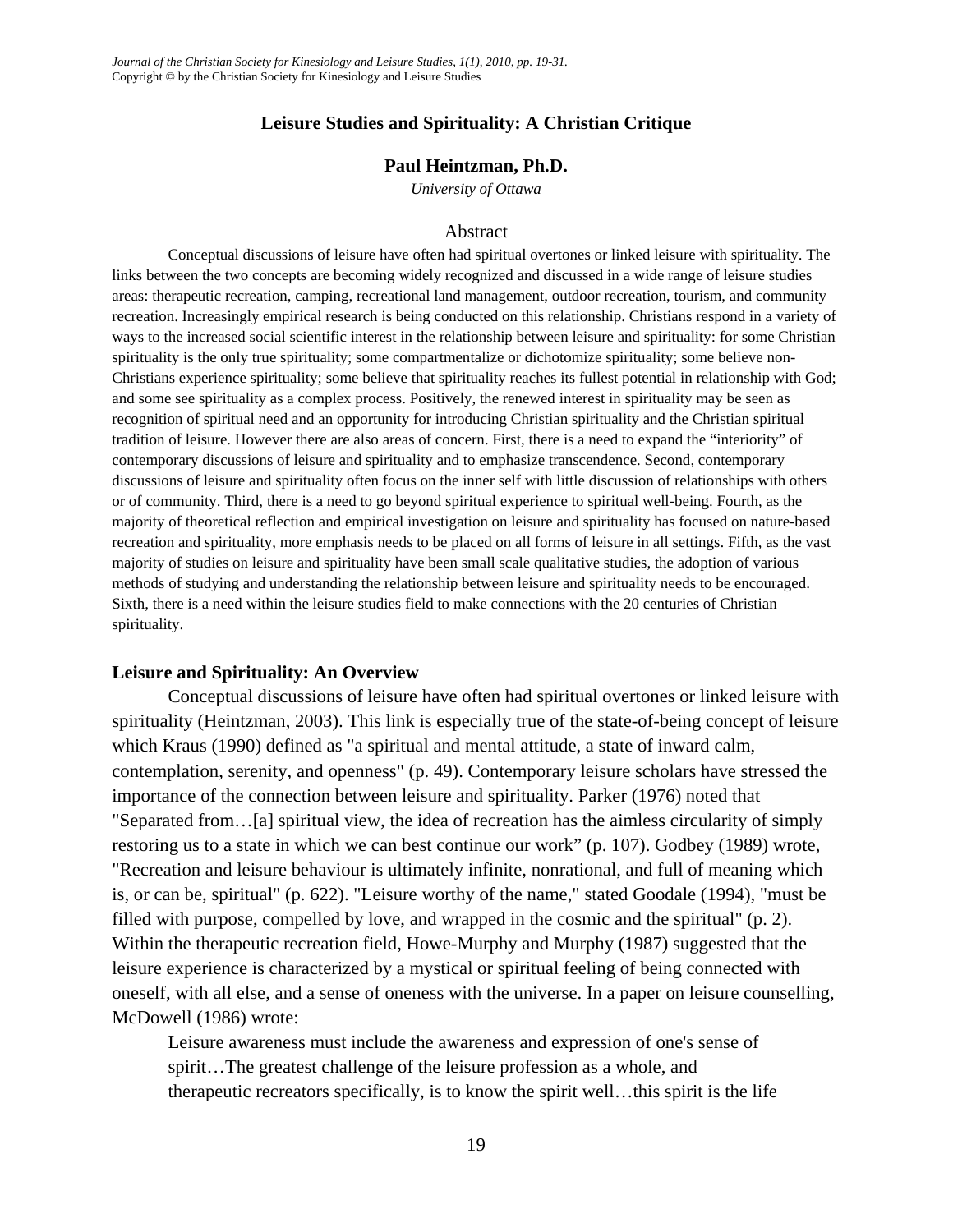## **Leisure Studies and Spirituality: A Christian Critique**

### **Paul Heintzman, Ph.D.**

*University of Ottawa* 

#### Abstract

Conceptual discussions of leisure have often had spiritual overtones or linked leisure with spirituality. The links between the two concepts are becoming widely recognized and discussed in a wide range of leisure studies areas: therapeutic recreation, camping, recreational land management, outdoor recreation, tourism, and community recreation. Increasingly empirical research is being conducted on this relationship. Christians respond in a variety of ways to the increased social scientific interest in the relationship between leisure and spirituality: for some Christian spirituality is the only true spirituality; some compartmentalize or dichotomize spirituality; some believe non-Christians experience spirituality; some believe that spirituality reaches its fullest potential in relationship with God; and some see spirituality as a complex process. Positively, the renewed interest in spirituality may be seen as recognition of spiritual need and an opportunity for introducing Christian spirituality and the Christian spiritual tradition of leisure. However there are also areas of concern. First, there is a need to expand the "interiority" of contemporary discussions of leisure and spirituality and to emphasize transcendence. Second, contemporary discussions of leisure and spirituality often focus on the inner self with little discussion of relationships with others or of community. Third, there is a need to go beyond spiritual experience to spiritual well-being. Fourth, as the majority of theoretical reflection and empirical investigation on leisure and spirituality has focused on nature-based recreation and spirituality, more emphasis needs to be placed on all forms of leisure in all settings. Fifth, as the vast majority of studies on leisure and spirituality have been small scale qualitative studies, the adoption of various methods of studying and understanding the relationship between leisure and spirituality needs to be encouraged. Sixth, there is a need within the leisure studies field to make connections with the 20 centuries of Christian spirituality.

### **Leisure and Spirituality: An Overview**

Conceptual discussions of leisure have often had spiritual overtones or linked leisure with spirituality (Heintzman, 2003). This link is especially true of the state-of-being concept of leisure which Kraus (1990) defined as "a spiritual and mental attitude, a state of inward calm, contemplation, serenity, and openness" (p. 49). Contemporary leisure scholars have stressed the importance of the connection between leisure and spirituality. Parker (1976) noted that "Separated from…[a] spiritual view, the idea of recreation has the aimless circularity of simply restoring us to a state in which we can best continue our work" (p. 107). Godbey (1989) wrote, "Recreation and leisure behaviour is ultimately infinite, nonrational, and full of meaning which is, or can be, spiritual" (p. 622). "Leisure worthy of the name," stated Goodale (1994), "must be filled with purpose, compelled by love, and wrapped in the cosmic and the spiritual" (p. 2). Within the therapeutic recreation field, Howe-Murphy and Murphy (1987) suggested that the leisure experience is characterized by a mystical or spiritual feeling of being connected with oneself, with all else, and a sense of oneness with the universe. In a paper on leisure counselling, McDowell (1986) wrote:

Leisure awareness must include the awareness and expression of one's sense of spirit…The greatest challenge of the leisure profession as a whole, and therapeutic recreators specifically, is to know the spirit well…this spirit is the life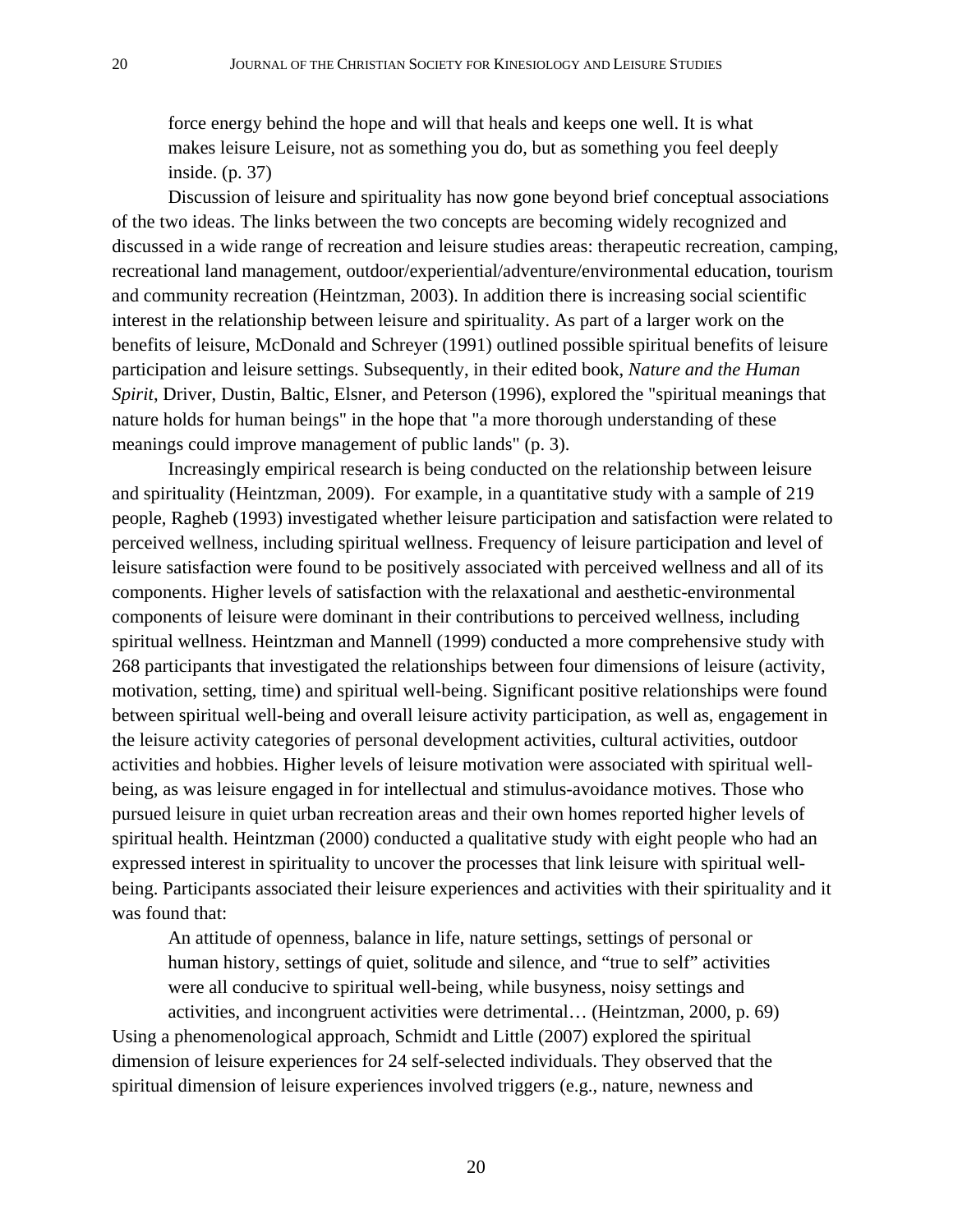force energy behind the hope and will that heals and keeps one well. It is what makes leisure Leisure, not as something you do, but as something you feel deeply inside. (p. 37)

Discussion of leisure and spirituality has now gone beyond brief conceptual associations of the two ideas. The links between the two concepts are becoming widely recognized and discussed in a wide range of recreation and leisure studies areas: therapeutic recreation, camping, recreational land management, outdoor/experiential/adventure/environmental education, tourism and community recreation (Heintzman, 2003). In addition there is increasing social scientific interest in the relationship between leisure and spirituality. As part of a larger work on the benefits of leisure, McDonald and Schreyer (1991) outlined possible spiritual benefits of leisure participation and leisure settings. Subsequently, in their edited book, *Nature and the Human Spirit*, Driver, Dustin, Baltic, Elsner, and Peterson (1996), explored the "spiritual meanings that nature holds for human beings" in the hope that "a more thorough understanding of these meanings could improve management of public lands" (p. 3).

Increasingly empirical research is being conducted on the relationship between leisure and spirituality (Heintzman, 2009). For example, in a quantitative study with a sample of 219 people, Ragheb (1993) investigated whether leisure participation and satisfaction were related to perceived wellness, including spiritual wellness. Frequency of leisure participation and level of leisure satisfaction were found to be positively associated with perceived wellness and all of its components. Higher levels of satisfaction with the relaxational and aesthetic-environmental components of leisure were dominant in their contributions to perceived wellness, including spiritual wellness. Heintzman and Mannell (1999) conducted a more comprehensive study with 268 participants that investigated the relationships between four dimensions of leisure (activity, motivation, setting, time) and spiritual well-being. Significant positive relationships were found between spiritual well-being and overall leisure activity participation, as well as, engagement in the leisure activity categories of personal development activities, cultural activities, outdoor activities and hobbies. Higher levels of leisure motivation were associated with spiritual wellbeing, as was leisure engaged in for intellectual and stimulus-avoidance motives. Those who pursued leisure in quiet urban recreation areas and their own homes reported higher levels of spiritual health. Heintzman (2000) conducted a qualitative study with eight people who had an expressed interest in spirituality to uncover the processes that link leisure with spiritual wellbeing. Participants associated their leisure experiences and activities with their spirituality and it was found that:

An attitude of openness, balance in life, nature settings, settings of personal or human history, settings of quiet, solitude and silence, and "true to self" activities were all conducive to spiritual well-being, while busyness, noisy settings and activities, and incongruent activities were detrimental… (Heintzman, 2000, p. 69) Using a phenomenological approach, Schmidt and Little (2007) explored the spiritual dimension of leisure experiences for 24 self-selected individuals. They observed that the spiritual dimension of leisure experiences involved triggers (e.g., nature, newness and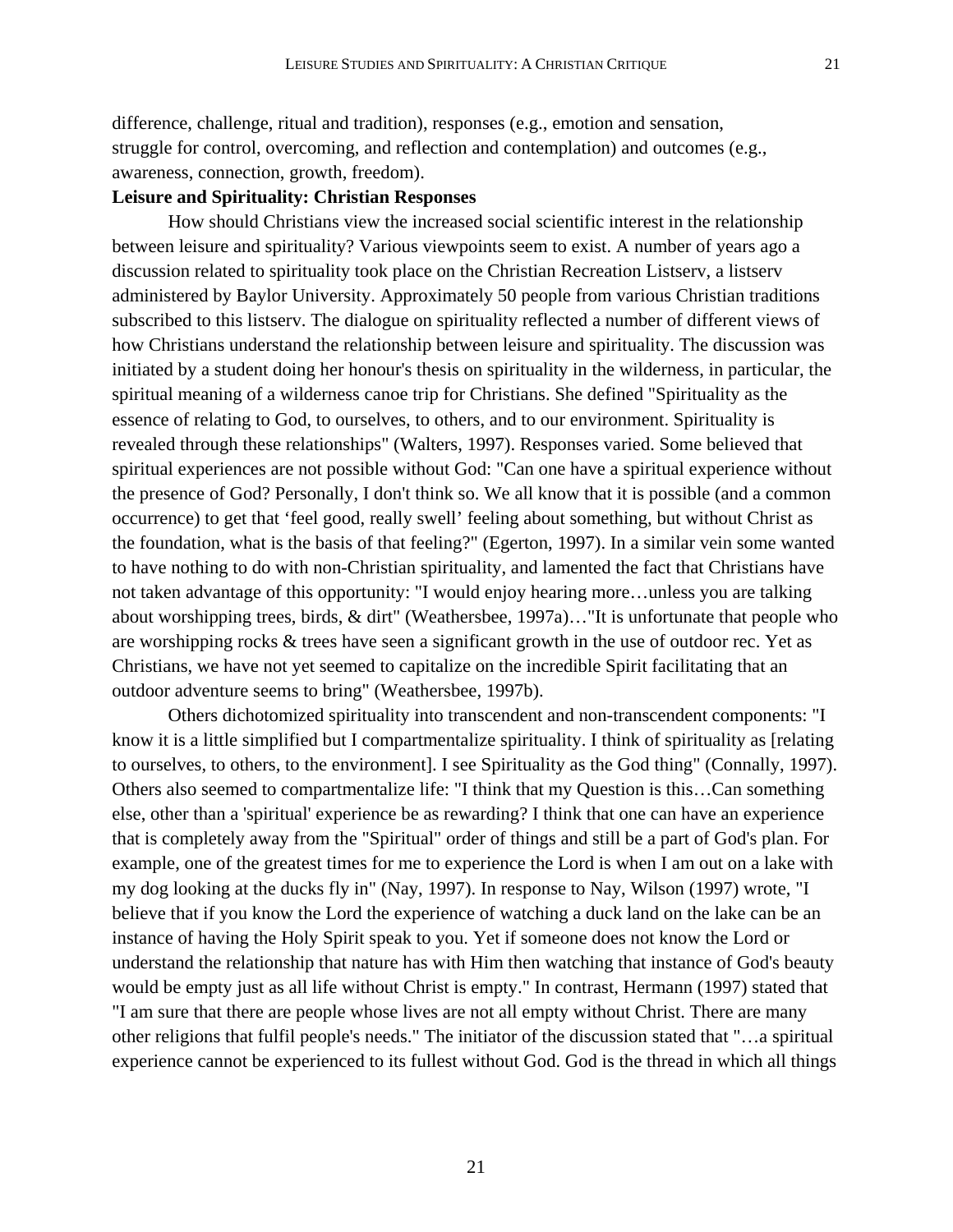difference, challenge, ritual and tradition), responses (e.g., emotion and sensation, struggle for control, overcoming, and reflection and contemplation) and outcomes (e.g., awareness, connection, growth, freedom).

## **Leisure and Spirituality: Christian Responses**

How should Christians view the increased social scientific interest in the relationship between leisure and spirituality? Various viewpoints seem to exist. A number of years ago a discussion related to spirituality took place on the Christian Recreation Listserv, a listserv administered by Baylor University. Approximately 50 people from various Christian traditions subscribed to this listserv. The dialogue on spirituality reflected a number of different views of how Christians understand the relationship between leisure and spirituality. The discussion was initiated by a student doing her honour's thesis on spirituality in the wilderness, in particular, the spiritual meaning of a wilderness canoe trip for Christians. She defined "Spirituality as the essence of relating to God, to ourselves, to others, and to our environment. Spirituality is revealed through these relationships" (Walters, 1997). Responses varied. Some believed that spiritual experiences are not possible without God: "Can one have a spiritual experience without the presence of God? Personally, I don't think so. We all know that it is possible (and a common occurrence) to get that 'feel good, really swell' feeling about something, but without Christ as the foundation, what is the basis of that feeling?" (Egerton, 1997). In a similar vein some wanted to have nothing to do with non-Christian spirituality, and lamented the fact that Christians have not taken advantage of this opportunity: "I would enjoy hearing more…unless you are talking about worshipping trees, birds, & dirt" (Weathersbee, 1997a)…"It is unfortunate that people who are worshipping rocks & trees have seen a significant growth in the use of outdoor rec. Yet as Christians, we have not yet seemed to capitalize on the incredible Spirit facilitating that an outdoor adventure seems to bring" (Weathersbee, 1997b).

Others dichotomized spirituality into transcendent and non-transcendent components: "I know it is a little simplified but I compartmentalize spirituality. I think of spirituality as [relating to ourselves, to others, to the environment]. I see Spirituality as the God thing" (Connally, 1997). Others also seemed to compartmentalize life: "I think that my Question is this…Can something else, other than a 'spiritual' experience be as rewarding? I think that one can have an experience that is completely away from the "Spiritual" order of things and still be a part of God's plan. For example, one of the greatest times for me to experience the Lord is when I am out on a lake with my dog looking at the ducks fly in" (Nay, 1997). In response to Nay, Wilson (1997) wrote, "I believe that if you know the Lord the experience of watching a duck land on the lake can be an instance of having the Holy Spirit speak to you. Yet if someone does not know the Lord or understand the relationship that nature has with Him then watching that instance of God's beauty would be empty just as all life without Christ is empty." In contrast, Hermann (1997) stated that "I am sure that there are people whose lives are not all empty without Christ. There are many other religions that fulfil people's needs." The initiator of the discussion stated that "…a spiritual experience cannot be experienced to its fullest without God. God is the thread in which all things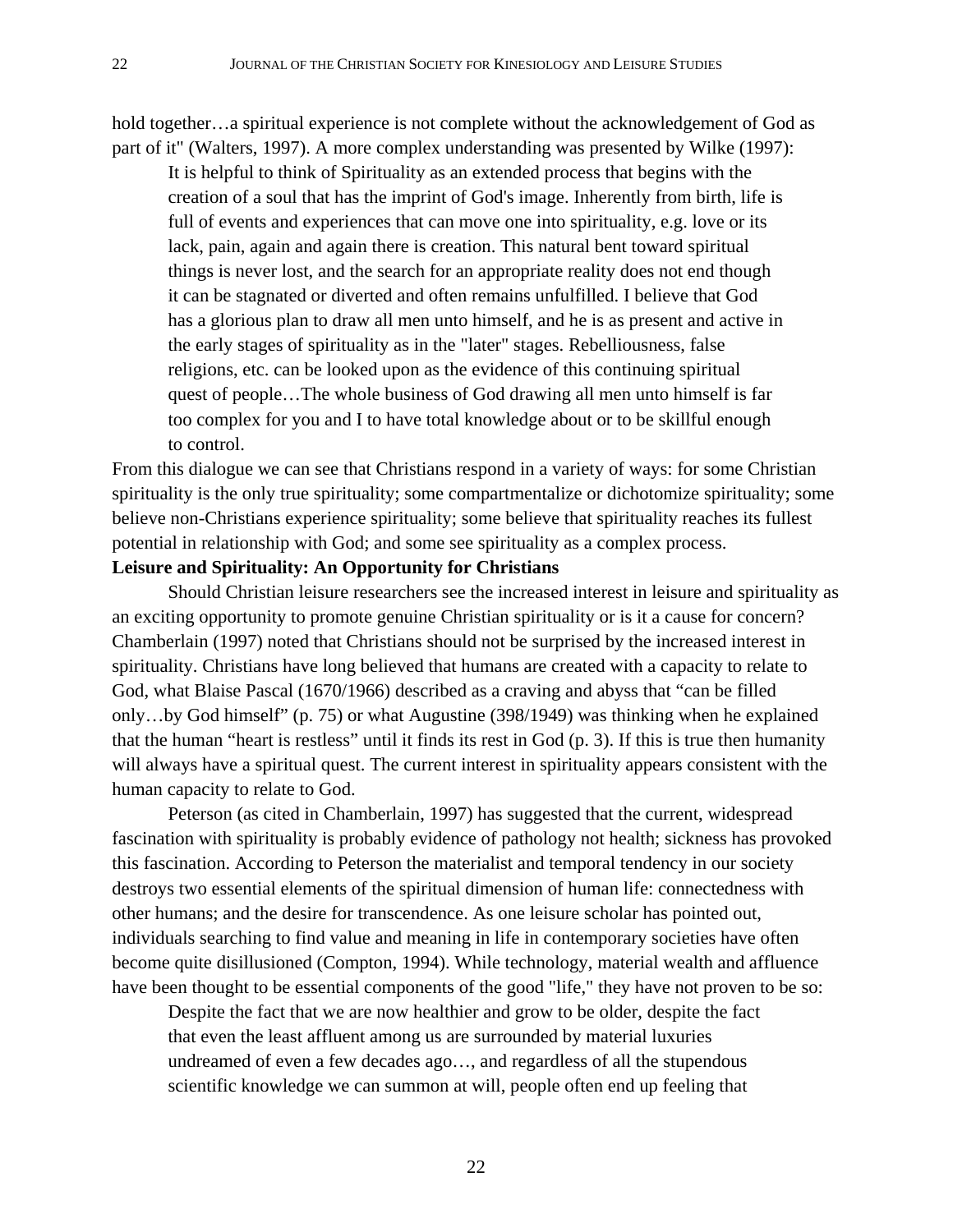hold together…a spiritual experience is not complete without the acknowledgement of God as part of it" (Walters, 1997). A more complex understanding was presented by Wilke (1997):

It is helpful to think of Spirituality as an extended process that begins with the creation of a soul that has the imprint of God's image. Inherently from birth, life is full of events and experiences that can move one into spirituality, e.g. love or its lack, pain, again and again there is creation. This natural bent toward spiritual things is never lost, and the search for an appropriate reality does not end though it can be stagnated or diverted and often remains unfulfilled. I believe that God has a glorious plan to draw all men unto himself, and he is as present and active in the early stages of spirituality as in the "later" stages. Rebelliousness, false religions, etc. can be looked upon as the evidence of this continuing spiritual quest of people…The whole business of God drawing all men unto himself is far too complex for you and I to have total knowledge about or to be skillful enough to control.

From this dialogue we can see that Christians respond in a variety of ways: for some Christian spirituality is the only true spirituality; some compartmentalize or dichotomize spirituality; some believe non-Christians experience spirituality; some believe that spirituality reaches its fullest potential in relationship with God; and some see spirituality as a complex process.

# **Leisure and Spirituality: An Opportunity for Christians**

Should Christian leisure researchers see the increased interest in leisure and spirituality as an exciting opportunity to promote genuine Christian spirituality or is it a cause for concern? Chamberlain (1997) noted that Christians should not be surprised by the increased interest in spirituality. Christians have long believed that humans are created with a capacity to relate to God, what Blaise Pascal (1670/1966) described as a craving and abyss that "can be filled only…by God himself" (p. 75) or what Augustine (398/1949) was thinking when he explained that the human "heart is restless" until it finds its rest in God (p. 3). If this is true then humanity will always have a spiritual quest. The current interest in spirituality appears consistent with the human capacity to relate to God.

Peterson (as cited in Chamberlain, 1997) has suggested that the current, widespread fascination with spirituality is probably evidence of pathology not health; sickness has provoked this fascination. According to Peterson the materialist and temporal tendency in our society destroys two essential elements of the spiritual dimension of human life: connectedness with other humans; and the desire for transcendence. As one leisure scholar has pointed out, individuals searching to find value and meaning in life in contemporary societies have often become quite disillusioned (Compton, 1994). While technology, material wealth and affluence have been thought to be essential components of the good "life," they have not proven to be so:

Despite the fact that we are now healthier and grow to be older, despite the fact that even the least affluent among us are surrounded by material luxuries undreamed of even a few decades ago…, and regardless of all the stupendous scientific knowledge we can summon at will, people often end up feeling that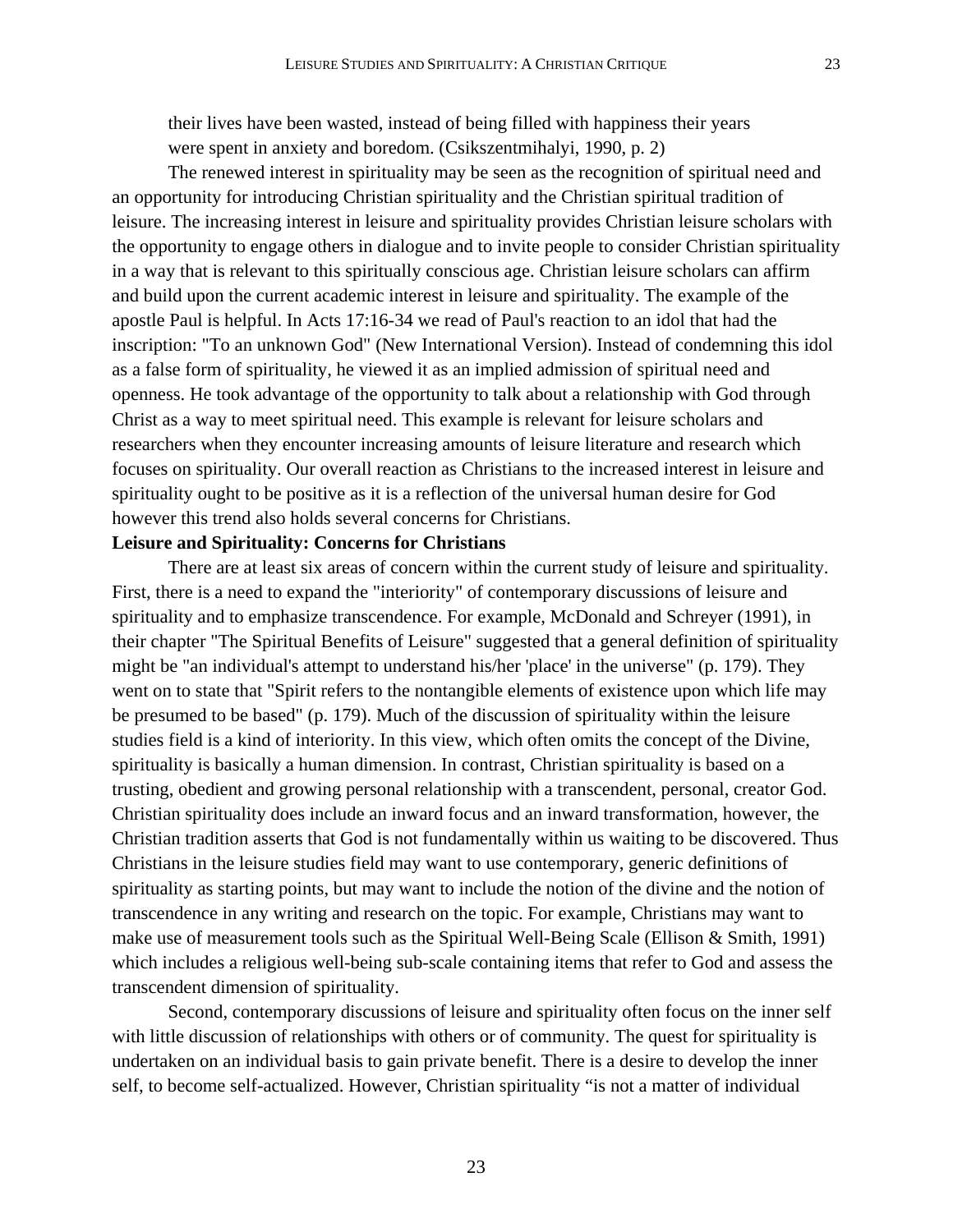their lives have been wasted, instead of being filled with happiness their years were spent in anxiety and boredom. (Csikszentmihalyi, 1990, p. 2)

The renewed interest in spirituality may be seen as the recognition of spiritual need and an opportunity for introducing Christian spirituality and the Christian spiritual tradition of leisure. The increasing interest in leisure and spirituality provides Christian leisure scholars with the opportunity to engage others in dialogue and to invite people to consider Christian spirituality in a way that is relevant to this spiritually conscious age. Christian leisure scholars can affirm and build upon the current academic interest in leisure and spirituality. The example of the apostle Paul is helpful. In Acts 17:16-34 we read of Paul's reaction to an idol that had the inscription: "To an unknown God" (New International Version). Instead of condemning this idol as a false form of spirituality, he viewed it as an implied admission of spiritual need and openness. He took advantage of the opportunity to talk about a relationship with God through Christ as a way to meet spiritual need. This example is relevant for leisure scholars and researchers when they encounter increasing amounts of leisure literature and research which focuses on spirituality. Our overall reaction as Christians to the increased interest in leisure and spirituality ought to be positive as it is a reflection of the universal human desire for God however this trend also holds several concerns for Christians.

## **Leisure and Spirituality: Concerns for Christians**

There are at least six areas of concern within the current study of leisure and spirituality. First, there is a need to expand the "interiority" of contemporary discussions of leisure and spirituality and to emphasize transcendence. For example, McDonald and Schreyer (1991), in their chapter "The Spiritual Benefits of Leisure" suggested that a general definition of spirituality might be "an individual's attempt to understand his/her 'place' in the universe" (p. 179). They went on to state that "Spirit refers to the nontangible elements of existence upon which life may be presumed to be based" (p. 179). Much of the discussion of spirituality within the leisure studies field is a kind of interiority. In this view, which often omits the concept of the Divine, spirituality is basically a human dimension. In contrast, Christian spirituality is based on a trusting, obedient and growing personal relationship with a transcendent, personal, creator God. Christian spirituality does include an inward focus and an inward transformation, however, the Christian tradition asserts that God is not fundamentally within us waiting to be discovered. Thus Christians in the leisure studies field may want to use contemporary, generic definitions of spirituality as starting points, but may want to include the notion of the divine and the notion of transcendence in any writing and research on the topic. For example, Christians may want to make use of measurement tools such as the Spiritual Well-Being Scale (Ellison & Smith, 1991) which includes a religious well-being sub-scale containing items that refer to God and assess the transcendent dimension of spirituality.

Second, contemporary discussions of leisure and spirituality often focus on the inner self with little discussion of relationships with others or of community. The quest for spirituality is undertaken on an individual basis to gain private benefit. There is a desire to develop the inner self, to become self-actualized. However, Christian spirituality "is not a matter of individual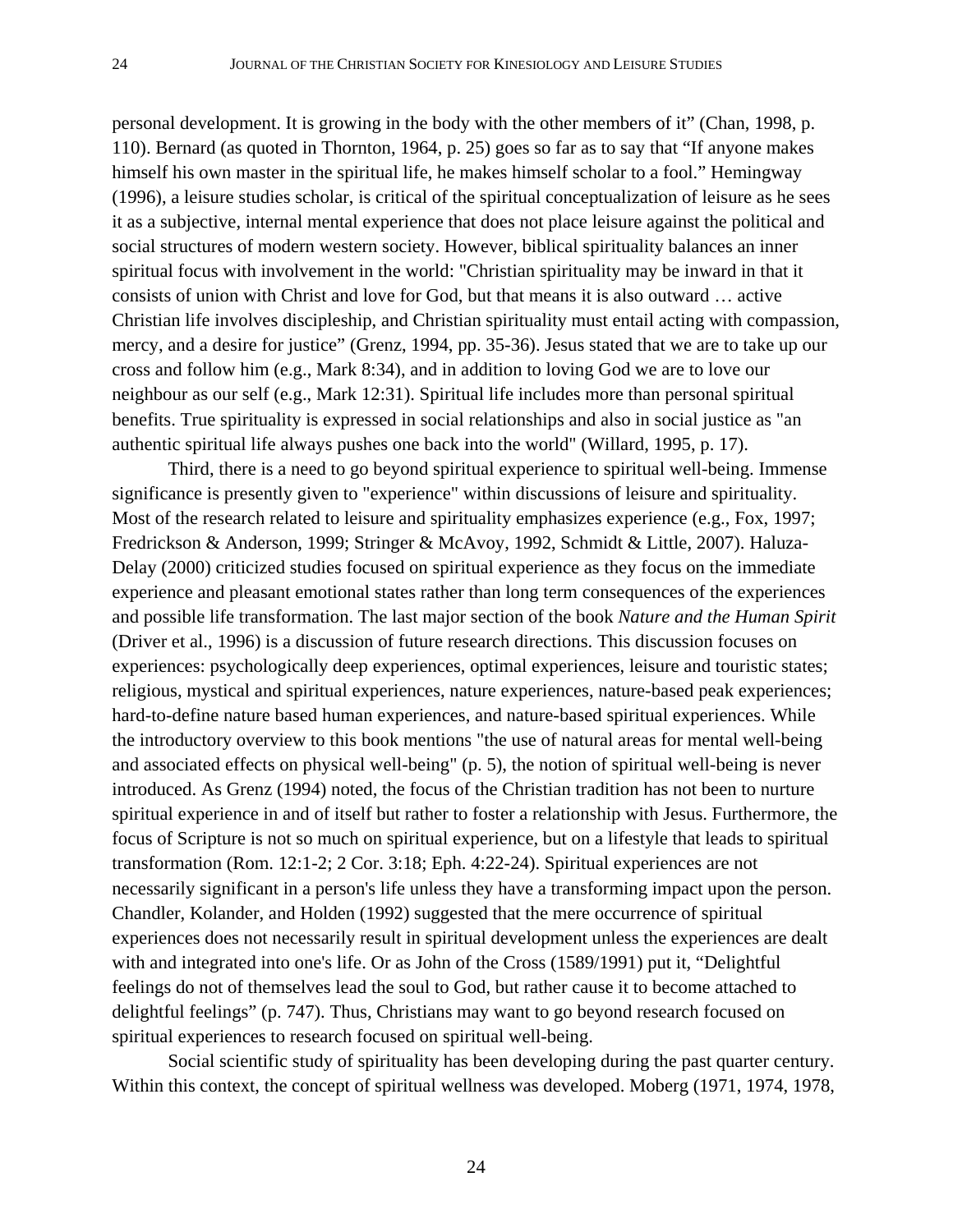personal development. It is growing in the body with the other members of it" (Chan, 1998, p. 110). Bernard (as quoted in Thornton, 1964, p. 25) goes so far as to say that "If anyone makes himself his own master in the spiritual life, he makes himself scholar to a fool." Hemingway (1996), a leisure studies scholar, is critical of the spiritual conceptualization of leisure as he sees it as a subjective, internal mental experience that does not place leisure against the political and social structures of modern western society. However, biblical spirituality balances an inner spiritual focus with involvement in the world: "Christian spirituality may be inward in that it consists of union with Christ and love for God, but that means it is also outward … active Christian life involves discipleship, and Christian spirituality must entail acting with compassion, mercy, and a desire for justice" (Grenz, 1994, pp. 35-36). Jesus stated that we are to take up our cross and follow him (e.g., Mark 8:34), and in addition to loving God we are to love our neighbour as our self (e.g., Mark 12:31). Spiritual life includes more than personal spiritual benefits. True spirituality is expressed in social relationships and also in social justice as "an authentic spiritual life always pushes one back into the world" (Willard, 1995, p. 17).

Third, there is a need to go beyond spiritual experience to spiritual well-being. Immense significance is presently given to "experience" within discussions of leisure and spirituality. Most of the research related to leisure and spirituality emphasizes experience (e.g., Fox, 1997; Fredrickson & Anderson, 1999; Stringer & McAvoy, 1992, Schmidt & Little, 2007). Haluza-Delay (2000) criticized studies focused on spiritual experience as they focus on the immediate experience and pleasant emotional states rather than long term consequences of the experiences and possible life transformation. The last major section of the book *Nature and the Human Spirit* (Driver et al., 1996) is a discussion of future research directions. This discussion focuses on experiences: psychologically deep experiences, optimal experiences, leisure and touristic states; religious, mystical and spiritual experiences, nature experiences, nature-based peak experiences; hard-to-define nature based human experiences, and nature-based spiritual experiences. While the introductory overview to this book mentions "the use of natural areas for mental well-being and associated effects on physical well-being" (p. 5), the notion of spiritual well-being is never introduced. As Grenz (1994) noted, the focus of the Christian tradition has not been to nurture spiritual experience in and of itself but rather to foster a relationship with Jesus. Furthermore, the focus of Scripture is not so much on spiritual experience, but on a lifestyle that leads to spiritual transformation (Rom. 12:1-2; 2 Cor. 3:18; Eph. 4:22-24). Spiritual experiences are not necessarily significant in a person's life unless they have a transforming impact upon the person. Chandler, Kolander, and Holden (1992) suggested that the mere occurrence of spiritual experiences does not necessarily result in spiritual development unless the experiences are dealt with and integrated into one's life. Or as John of the Cross (1589/1991) put it, "Delightful feelings do not of themselves lead the soul to God, but rather cause it to become attached to delightful feelings" (p. 747). Thus, Christians may want to go beyond research focused on spiritual experiences to research focused on spiritual well-being.

Social scientific study of spirituality has been developing during the past quarter century. Within this context, the concept of spiritual wellness was developed. Moberg (1971, 1974, 1978,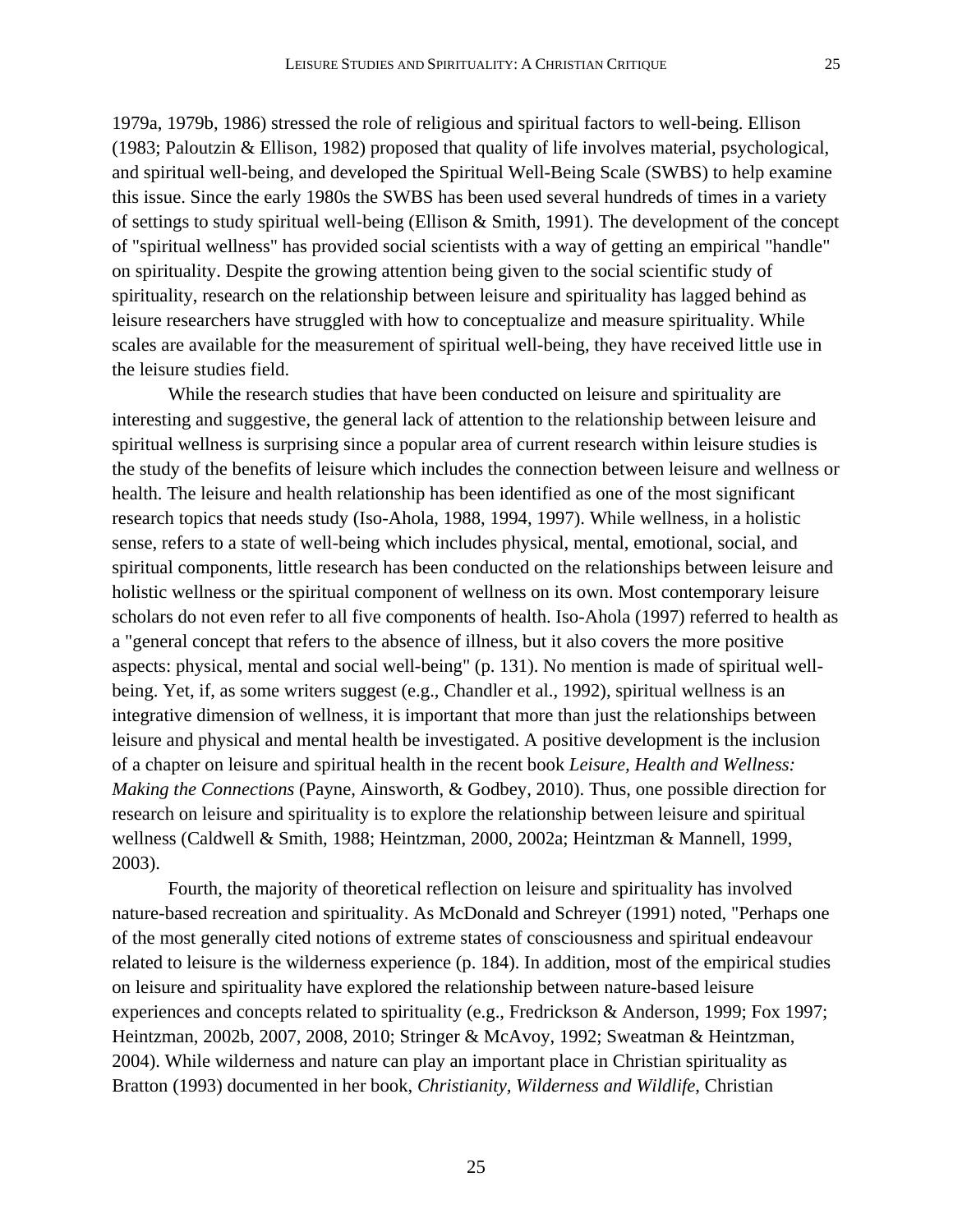1979a, 1979b, 1986) stressed the role of religious and spiritual factors to well-being. Ellison (1983; Paloutzin & Ellison, 1982) proposed that quality of life involves material, psychological, and spiritual well-being, and developed the Spiritual Well-Being Scale (SWBS) to help examine this issue. Since the early 1980s the SWBS has been used several hundreds of times in a variety of settings to study spiritual well-being (Ellison & Smith, 1991). The development of the concept of "spiritual wellness" has provided social scientists with a way of getting an empirical "handle" on spirituality. Despite the growing attention being given to the social scientific study of spirituality, research on the relationship between leisure and spirituality has lagged behind as leisure researchers have struggled with how to conceptualize and measure spirituality. While scales are available for the measurement of spiritual well-being, they have received little use in the leisure studies field.

 While the research studies that have been conducted on leisure and spirituality are interesting and suggestive, the general lack of attention to the relationship between leisure and spiritual wellness is surprising since a popular area of current research within leisure studies is the study of the benefits of leisure which includes the connection between leisure and wellness or health. The leisure and health relationship has been identified as one of the most significant research topics that needs study (Iso-Ahola, 1988, 1994, 1997). While wellness, in a holistic sense, refers to a state of well-being which includes physical, mental, emotional, social, and spiritual components, little research has been conducted on the relationships between leisure and holistic wellness or the spiritual component of wellness on its own. Most contemporary leisure scholars do not even refer to all five components of health. Iso-Ahola (1997) referred to health as a "general concept that refers to the absence of illness, but it also covers the more positive aspects: physical, mental and social well-being" (p. 131). No mention is made of spiritual wellbeing. Yet, if, as some writers suggest (e.g., Chandler et al., 1992), spiritual wellness is an integrative dimension of wellness, it is important that more than just the relationships between leisure and physical and mental health be investigated. A positive development is the inclusion of a chapter on leisure and spiritual health in the recent book *Leisure, Health and Wellness: Making the Connections* (Payne, Ainsworth, & Godbey, 2010). Thus, one possible direction for research on leisure and spirituality is to explore the relationship between leisure and spiritual wellness (Caldwell & Smith, 1988; Heintzman, 2000, 2002a; Heintzman & Mannell, 1999, 2003).

Fourth, the majority of theoretical reflection on leisure and spirituality has involved nature-based recreation and spirituality. As McDonald and Schreyer (1991) noted, "Perhaps one of the most generally cited notions of extreme states of consciousness and spiritual endeavour related to leisure is the wilderness experience (p. 184). In addition, most of the empirical studies on leisure and spirituality have explored the relationship between nature-based leisure experiences and concepts related to spirituality (e.g., Fredrickson & Anderson, 1999; Fox 1997; Heintzman, 2002b, 2007, 2008, 2010; Stringer & McAvoy, 1992; Sweatman & Heintzman, 2004). While wilderness and nature can play an important place in Christian spirituality as Bratton (1993) documented in her book, *Christianity, Wilderness and Wildlife*, Christian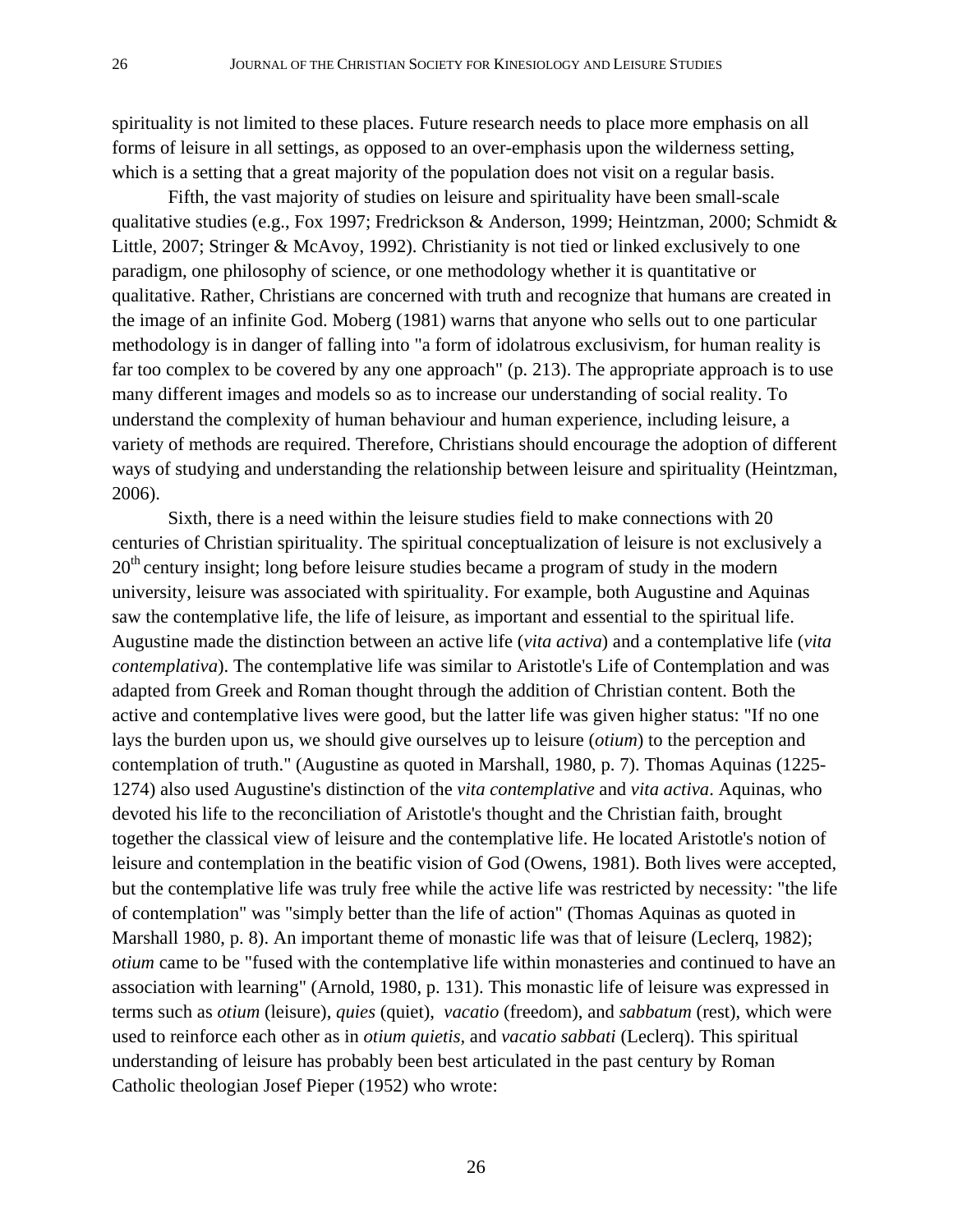spirituality is not limited to these places. Future research needs to place more emphasis on all forms of leisure in all settings, as opposed to an over-emphasis upon the wilderness setting, which is a setting that a great majority of the population does not visit on a regular basis.

Fifth, the vast majority of studies on leisure and spirituality have been small-scale qualitative studies (e.g., Fox 1997; Fredrickson & Anderson, 1999; Heintzman, 2000; Schmidt & Little, 2007; Stringer & McAvoy, 1992). Christianity is not tied or linked exclusively to one paradigm, one philosophy of science, or one methodology whether it is quantitative or qualitative. Rather, Christians are concerned with truth and recognize that humans are created in the image of an infinite God. Moberg (1981) warns that anyone who sells out to one particular methodology is in danger of falling into "a form of idolatrous exclusivism, for human reality is far too complex to be covered by any one approach" (p. 213). The appropriate approach is to use many different images and models so as to increase our understanding of social reality. To understand the complexity of human behaviour and human experience, including leisure, a variety of methods are required. Therefore, Christians should encourage the adoption of different ways of studying and understanding the relationship between leisure and spirituality (Heintzman, 2006).

Sixth, there is a need within the leisure studies field to make connections with 20 centuries of Christian spirituality. The spiritual conceptualization of leisure is not exclusively a 20<sup>th</sup> century insight; long before leisure studies became a program of study in the modern university, leisure was associated with spirituality. For example, both Augustine and Aquinas saw the contemplative life, the life of leisure, as important and essential to the spiritual life. Augustine made the distinction between an active life (*vita activa*) and a contemplative life (*vita contemplativa*). The contemplative life was similar to Aristotle's Life of Contemplation and was adapted from Greek and Roman thought through the addition of Christian content. Both the active and contemplative lives were good, but the latter life was given higher status: "If no one lays the burden upon us, we should give ourselves up to leisure (*otium*) to the perception and contemplation of truth." (Augustine as quoted in Marshall, 1980, p. 7). Thomas Aquinas (1225- 1274) also used Augustine's distinction of the *vita contemplative* and *vita activa*. Aquinas, who devoted his life to the reconciliation of Aristotle's thought and the Christian faith, brought together the classical view of leisure and the contemplative life. He located Aristotle's notion of leisure and contemplation in the beatific vision of God (Owens, 1981). Both lives were accepted, but the contemplative life was truly free while the active life was restricted by necessity: "the life of contemplation" was "simply better than the life of action" (Thomas Aquinas as quoted in Marshall 1980, p. 8). An important theme of monastic life was that of leisure (Leclerq, 1982); *otium* came to be "fused with the contemplative life within monasteries and continued to have an association with learning" (Arnold, 1980, p. 131). This monastic life of leisure was expressed in terms such as *otium* (leisure), *quies* (quiet), *vacatio* (freedom), and *sabbatum* (rest), which were used to reinforce each other as in *otium quietis,* and *vacatio sabbati* (Leclerq). This spiritual understanding of leisure has probably been best articulated in the past century by Roman Catholic theologian Josef Pieper (1952) who wrote: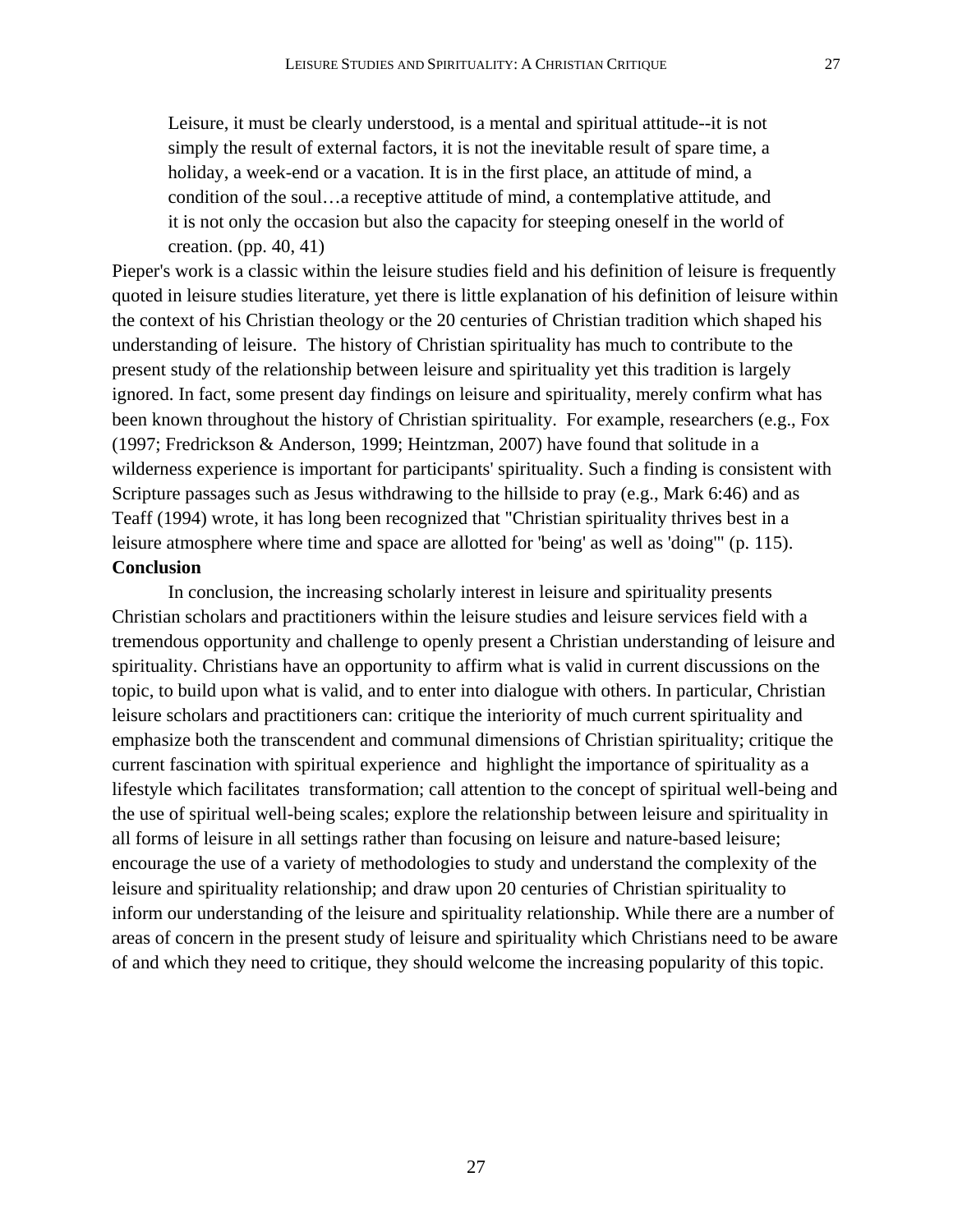Leisure, it must be clearly understood, is a mental and spiritual attitude--it is not simply the result of external factors, it is not the inevitable result of spare time, a holiday, a week-end or a vacation. It is in the first place, an attitude of mind, a condition of the soul…a receptive attitude of mind, a contemplative attitude, and it is not only the occasion but also the capacity for steeping oneself in the world of

creation. (pp. 40, 41)

Pieper's work is a classic within the leisure studies field and his definition of leisure is frequently quoted in leisure studies literature, yet there is little explanation of his definition of leisure within the context of his Christian theology or the 20 centuries of Christian tradition which shaped his understanding of leisure. The history of Christian spirituality has much to contribute to the present study of the relationship between leisure and spirituality yet this tradition is largely ignored. In fact, some present day findings on leisure and spirituality, merely confirm what has been known throughout the history of Christian spirituality. For example, researchers (e.g., Fox (1997; Fredrickson & Anderson, 1999; Heintzman, 2007) have found that solitude in a wilderness experience is important for participants' spirituality. Such a finding is consistent with Scripture passages such as Jesus withdrawing to the hillside to pray (e.g., Mark 6:46) and as Teaff (1994) wrote, it has long been recognized that "Christian spirituality thrives best in a leisure atmosphere where time and space are allotted for 'being' as well as 'doing'" (p. 115). **Conclusion** 

In conclusion, the increasing scholarly interest in leisure and spirituality presents Christian scholars and practitioners within the leisure studies and leisure services field with a tremendous opportunity and challenge to openly present a Christian understanding of leisure and spirituality. Christians have an opportunity to affirm what is valid in current discussions on the topic, to build upon what is valid, and to enter into dialogue with others. In particular, Christian leisure scholars and practitioners can: critique the interiority of much current spirituality and emphasize both the transcendent and communal dimensions of Christian spirituality; critique the current fascination with spiritual experience and highlight the importance of spirituality as a lifestyle which facilitates transformation; call attention to the concept of spiritual well-being and the use of spiritual well-being scales; explore the relationship between leisure and spirituality in all forms of leisure in all settings rather than focusing on leisure and nature-based leisure; encourage the use of a variety of methodologies to study and understand the complexity of the leisure and spirituality relationship; and draw upon 20 centuries of Christian spirituality to inform our understanding of the leisure and spirituality relationship. While there are a number of areas of concern in the present study of leisure and spirituality which Christians need to be aware of and which they need to critique, they should welcome the increasing popularity of this topic.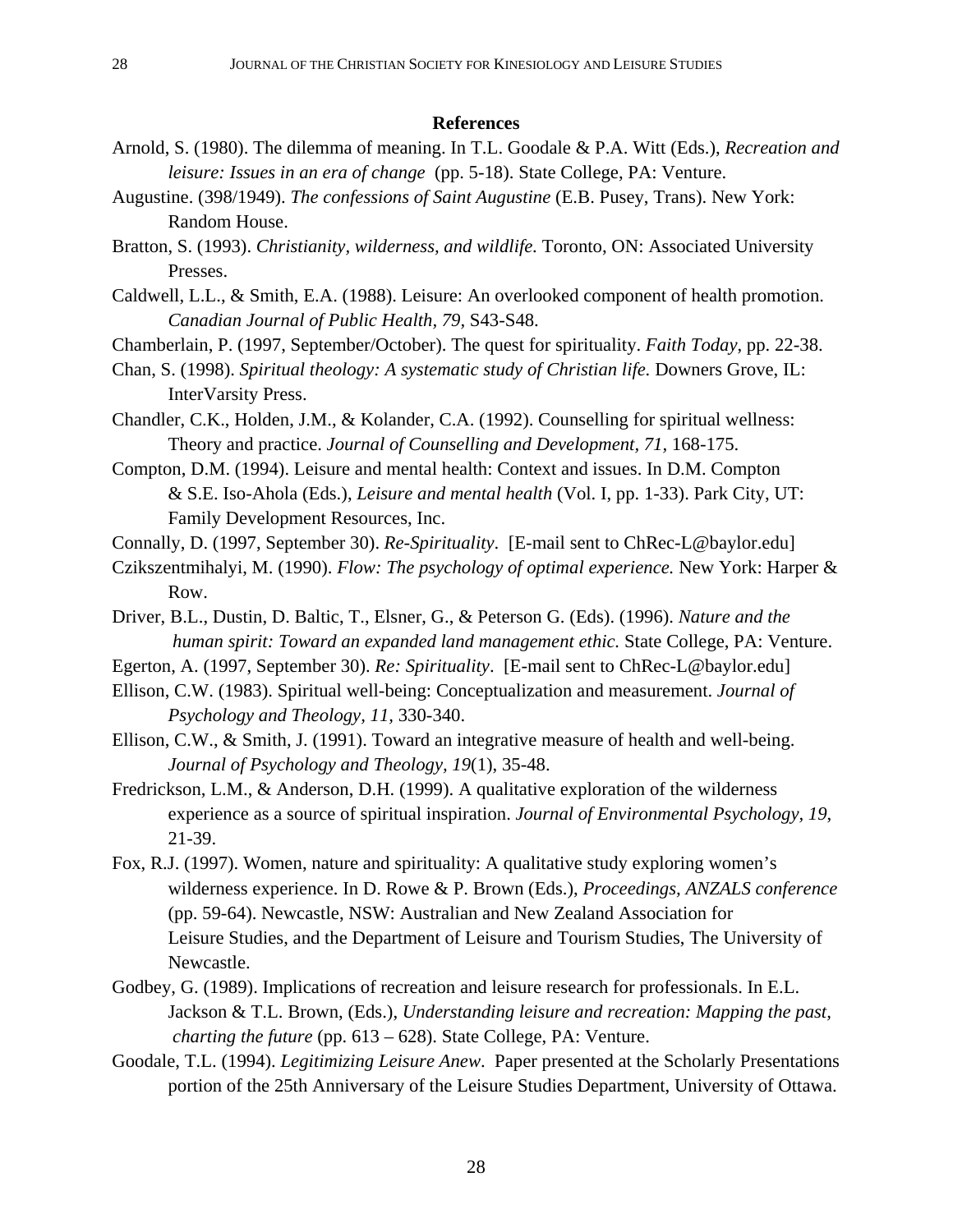### **References**

- Arnold, S. (1980). The dilemma of meaning. In T.L. Goodale & P.A. Witt (Eds.), *Recreation and leisure: Issues in an era of change* (pp. 5-18). State College, PA: Venture.
- Augustine. (398/1949). *The confessions of Saint Augustine* (E.B. Pusey, Trans). New York: Random House.
- Bratton, S. (1993). *Christianity, wilderness, and wildlife.* Toronto, ON: Associated University Presses.
- Caldwell, L.L., & Smith, E.A. (1988). Leisure: An overlooked component of health promotion. *Canadian Journal of Public Health, 79,* S43-S48.
- Chamberlain, P. (1997, September/October). The quest for spirituality. *Faith Today*, pp. 22-38.
- Chan, S. (1998). *Spiritual theology: A systematic study of Christian life.* Downers Grove, IL: InterVarsity Press.
- Chandler, C.K., Holden, J.M., & Kolander, C.A. (1992). Counselling for spiritual wellness: Theory and practice. *Journal of Counselling and Development, 71,* 168-175.
- Compton, D.M. (1994). Leisure and mental health: Context and issues. In D.M. Compton & S.E. Iso-Ahola (Eds.), *Leisure and mental health* (Vol. I, pp. 1-33). Park City, UT: Family Development Resources, Inc.
- Connally, D. (1997, September 30). *Re-Spirituality*. [E-mail sent to ChRec-L@baylor.edu]
- Czikszentmihalyi, M. (1990). *Flow: The psychology of optimal experience.* New York: Harper & Row.
- Driver, B.L., Dustin, D. Baltic, T., Elsner, G., & Peterson G. (Eds). (1996). *Nature and the human spirit: Toward an expanded land management ethic.* State College, PA: Venture.
- Egerton, A. (1997, September 30). *Re: Spirituality*. [E-mail sent to ChRec-L@baylor.edu]
- Ellison, C.W. (1983). Spiritual well-being: Conceptualization and measurement. *Journal of Psychology and Theology, 11,* 330-340.
- Ellison, C.W., & Smith, J. (1991). Toward an integrative measure of health and well-being. *Journal of Psychology and Theology, 19*(1), 35-48.
- Fredrickson, L.M., & Anderson, D.H. (1999). A qualitative exploration of the wilderness experience as a source of spiritual inspiration. *Journal of Environmental Psychology, 19*, 21-39.
- Fox, R.J. (1997). Women, nature and spirituality: A qualitative study exploring women's wilderness experience. In D. Rowe & P. Brown (Eds.), *Proceedings, ANZALS conference*  (pp. 59-64). Newcastle, NSW: Australian and New Zealand Association for Leisure Studies, and the Department of Leisure and Tourism Studies, The University of Newcastle.
- Godbey, G. (1989). Implications of recreation and leisure research for professionals. In E.L. Jackson & T.L. Brown, (Eds.), *Understanding leisure and recreation: Mapping the past, charting the future* (pp. 613 – 628). State College, PA: Venture.
- Goodale, T.L. (1994). *Legitimizing Leisure Anew*. Paper presented at the Scholarly Presentations portion of the 25th Anniversary of the Leisure Studies Department, University of Ottawa.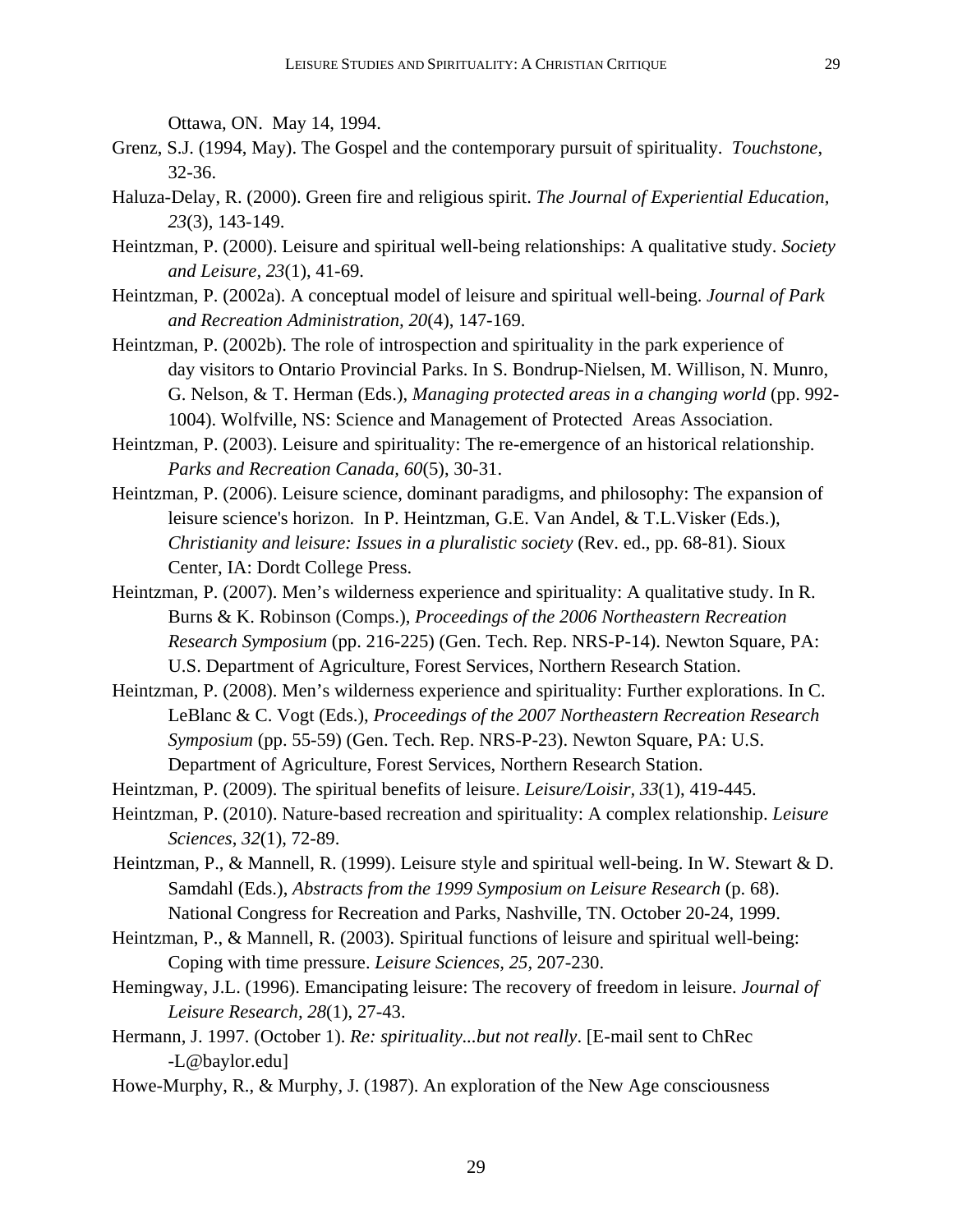Ottawa, ON. May 14, 1994.

- Grenz, S.J. (1994, May). The Gospel and the contemporary pursuit of spirituality. *Touchstone*, 32-36.
- Haluza-Delay, R. (2000). Green fire and religious spirit. *The Journal of Experiential Education, 23*(3), 143-149.
- Heintzman, P. (2000). Leisure and spiritual well-being relationships: A qualitative study. *Society and Leisure, 23*(1), 41-69.
- Heintzman, P. (2002a). A conceptual model of leisure and spiritual well-being. *Journal of Park and Recreation Administration, 20*(4), 147-169.
- Heintzman, P. (2002b). The role of introspection and spirituality in the park experience of day visitors to Ontario Provincial Parks. In S. Bondrup-Nielsen, M. Willison, N. Munro, G. Nelson, & T. Herman (Eds.), *Managing protected areas in a changing world* (pp. 992- 1004). Wolfville, NS: Science and Management of Protected Areas Association.
- Heintzman, P. (2003). Leisure and spirituality: The re-emergence of an historical relationship. *Parks and Recreation Canada, 60*(5), 30-31.
- Heintzman, P. (2006). Leisure science, dominant paradigms, and philosophy: The expansion of leisure science's horizon. In P. Heintzman, G.E. Van Andel, & T.L.Visker (Eds.), *Christianity and leisure: Issues in a pluralistic society* (Rev. ed., pp. 68-81). Sioux Center, IA: Dordt College Press.
- Heintzman, P. (2007). Men's wilderness experience and spirituality: A qualitative study. In R. Burns & K. Robinson (Comps.), *Proceedings of the 2006 Northeastern Recreation Research Symposium* (pp. 216-225) (Gen. Tech. Rep. NRS-P-14). Newton Square, PA: U.S. Department of Agriculture, Forest Services, Northern Research Station.
- Heintzman, P. (2008). Men's wilderness experience and spirituality: Further explorations. In C. LeBlanc & C. Vogt (Eds.), *Proceedings of the 2007 Northeastern Recreation Research Symposium* (pp. 55-59) (Gen. Tech. Rep. NRS-P-23). Newton Square, PA: U.S. Department of Agriculture, Forest Services, Northern Research Station.
- Heintzman, P. (2009). The spiritual benefits of leisure. *Leisure/Loisir, 33*(1), 419-445.
- Heintzman, P. (2010). Nature-based recreation and spirituality: A complex relationship. *Leisure Sciences*, *32*(1), 72-89.
- Heintzman, P., & Mannell, R. (1999). Leisure style and spiritual well-being. In W. Stewart & D. Samdahl (Eds.), *Abstracts from the 1999 Symposium on Leisure Research* (p. 68). National Congress for Recreation and Parks, Nashville, TN. October 20-24, 1999.
- Heintzman, P., & Mannell, R. (2003). Spiritual functions of leisure and spiritual well-being: Coping with time pressure. *Leisure Sciences, 25,* 207-230.
- Hemingway, J.L. (1996). Emancipating leisure: The recovery of freedom in leisure. *Journal of Leisure Research, 28*(1), 27-43.
- Hermann, J. 1997. (October 1). *Re: spirituality...but not really*. [E-mail sent to ChRec -L@baylor.edu]
- Howe-Murphy, R., & Murphy, J. (1987). An exploration of the New Age consciousness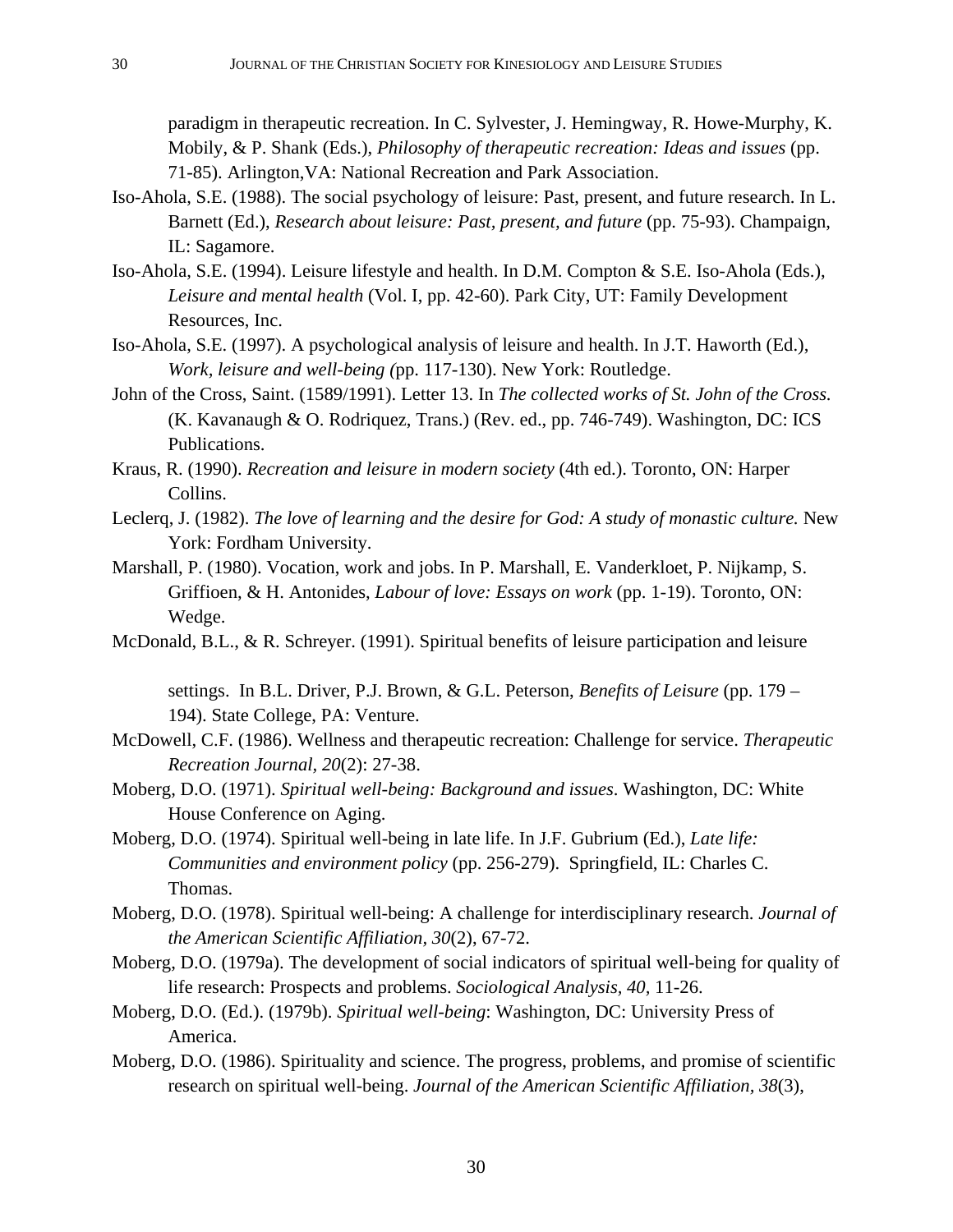paradigm in therapeutic recreation. In C. Sylvester, J. Hemingway, R. Howe-Murphy, K. Mobily, & P. Shank (Eds.), *Philosophy of therapeutic recreation: Ideas and issues* (pp. 71-85). Arlington,VA: National Recreation and Park Association.

- Iso-Ahola, S.E. (1988). The social psychology of leisure: Past, present, and future research. In L. Barnett (Ed.), *Research about leisure: Past, present, and future* (pp. 75-93). Champaign, IL: Sagamore.
- Iso-Ahola, S.E. (1994). Leisure lifestyle and health. In D.M. Compton & S.E. Iso-Ahola (Eds.), *Leisure and mental health* (Vol. I, pp. 42-60). Park City, UT: Family Development Resources, Inc.
- Iso-Ahola, S.E. (1997). A psychological analysis of leisure and health. In J.T. Haworth (Ed.), *Work, leisure and well-being (*pp. 117-130). New York: Routledge.
- John of the Cross, Saint. (1589/1991). Letter 13. In *The collected works of St. John of the Cross.* (K. Kavanaugh & O. Rodriquez, Trans.) (Rev. ed., pp. 746-749). Washington, DC: ICS Publications.
- Kraus, R. (1990). *Recreation and leisure in modern society* (4th ed.). Toronto, ON: Harper Collins.
- Leclerq, J. (1982). *The love of learning and the desire for God: A study of monastic culture.* New York: Fordham University.
- Marshall, P. (1980). Vocation, work and jobs. In P. Marshall, E. Vanderkloet, P. Nijkamp, S. Griffioen, & H. Antonides, *Labour of love: Essays on work* (pp. 1-19). Toronto, ON: Wedge.
- McDonald, B.L., & R. Schreyer. (1991). Spiritual benefits of leisure participation and leisure

settings. In B.L. Driver, P.J. Brown, & G.L. Peterson, *Benefits of Leisure* (pp. 179 – 194). State College, PA: Venture.

- McDowell, C.F. (1986). Wellness and therapeutic recreation: Challenge for service. *Therapeutic Recreation Journal, 20*(2): 27-38.
- Moberg, D.O. (1971). *Spiritual well-being: Background and issues*. Washington, DC: White House Conference on Aging.
- Moberg, D.O. (1974). Spiritual well-being in late life. In J.F. Gubrium (Ed.), *Late life: Communities and environment policy* (pp. 256-279). Springfield, IL: Charles C. Thomas.
- Moberg, D.O. (1978). Spiritual well-being: A challenge for interdisciplinary research. *Journal of the American Scientific Affiliation, 30*(2), 67-72.
- Moberg, D.O. (1979a). The development of social indicators of spiritual well-being for quality of life research: Prospects and problems. *Sociological Analysis, 40,* 11-26.
- Moberg, D.O. (Ed.). (1979b). *Spiritual well-being*: Washington, DC: University Press of America.
- Moberg, D.O. (1986). Spirituality and science. The progress, problems, and promise of scientific research on spiritual well-being. *Journal of the American Scientific Affiliation, 38*(3),